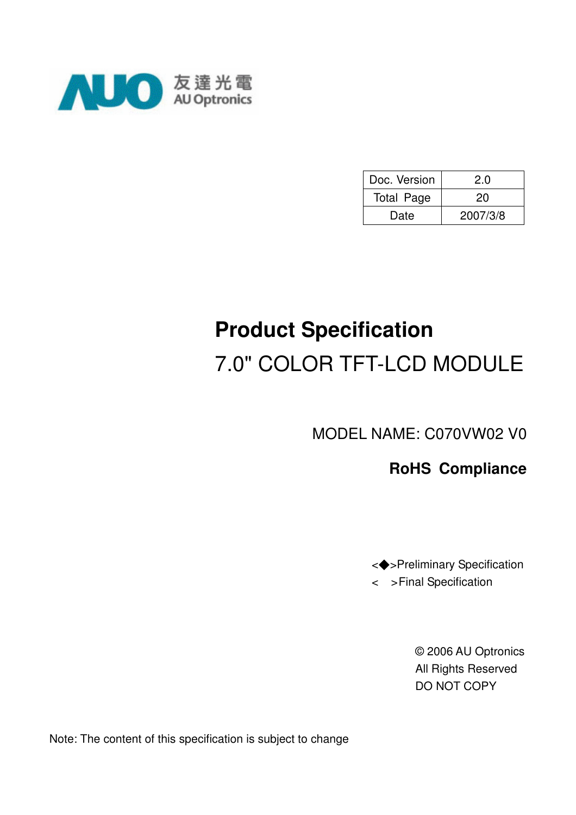

| Doc. Version      | 2.0      |
|-------------------|----------|
| <b>Total Page</b> | 20       |
| Date              | 2007/3/8 |

# **Product Specification**  7.0" COLOR TFT-LCD MODULE

MODEL NAME: C070VW02 V0

### **RoHS Compliance**

<!>Preliminary Specification < >Final Specification

> © 2006 AU Optronics All Rights Reserved DO NOT COPY

Note: The content of this specification is subject to change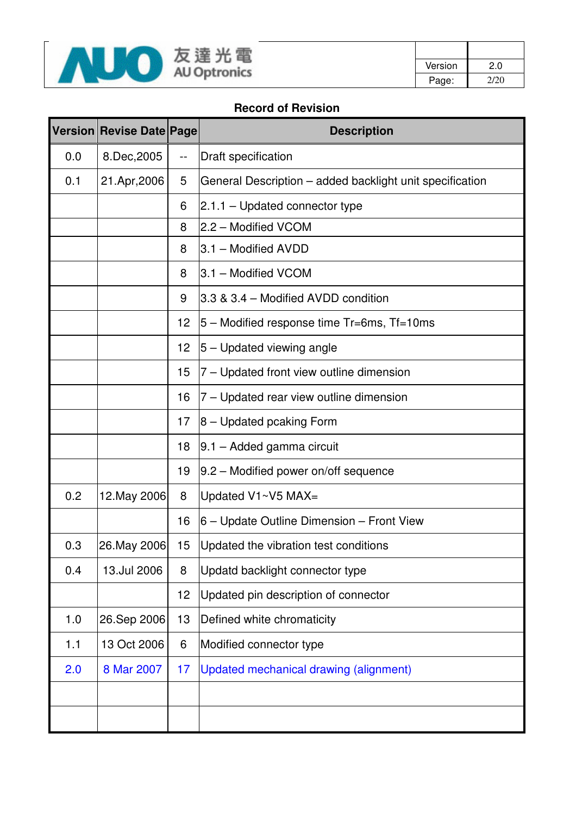

| Version | 2.0  |
|---------|------|
| Page:   | 2/20 |

#### **Record of Revision**

|     | <b>Version Revise Date Page</b> |    | <b>Description</b>                                       |
|-----|---------------------------------|----|----------------------------------------------------------|
| 0.0 | 8.Dec, 2005                     | -- | <b>Draft specification</b>                               |
| 0.1 | 21.Apr, 2006                    | 5  | General Description - added backlight unit specification |
|     |                                 | 6  | $2.1.1 -$ Updated connector type                         |
|     |                                 | 8  | 2.2 - Modified VCOM                                      |
|     |                                 | 8  | 3.1 - Modified AVDD                                      |
|     |                                 | 8  | 3.1 - Modified VCOM                                      |
|     |                                 | 9  | 3.3 & 3.4 - Modified AVDD condition                      |
|     |                                 | 12 | 5 – Modified response time Tr=6ms, Tf=10ms               |
|     |                                 | 12 | 5 – Updated viewing angle                                |
|     |                                 | 15 | 7 – Updated front view outline dimension                 |
|     |                                 | 16 | 7 – Updated rear view outline dimension                  |
|     |                                 | 17 | $ 8 -$ Updated pcaking Form                              |
|     |                                 | 18 | $ 9.1 -$ Added gamma circuit                             |
|     |                                 | 19 | 9.2 – Modified power on/off sequence                     |
| 0.2 | 12. May 2006                    | 8  | Updated V1~V5 MAX=                                       |
|     |                                 | 16 | 6 – Update Outline Dimension – Front View                |
| 0.3 | 26. May 2006                    | 15 | Updated the vibration test conditions                    |
| 0.4 | 13.Jul 2006                     | 8  | Updatd backlight connector type                          |
|     |                                 | 12 | Updated pin description of connector                     |
| 1.0 | 26.Sep 2006                     | 13 | Defined white chromaticity                               |
| 1.1 | 13 Oct 2006                     | 6  | Modified connector type                                  |
| 2.0 | 8 Mar 2007                      | 17 | Updated mechanical drawing (alignment)                   |
|     |                                 |    |                                                          |
|     |                                 |    |                                                          |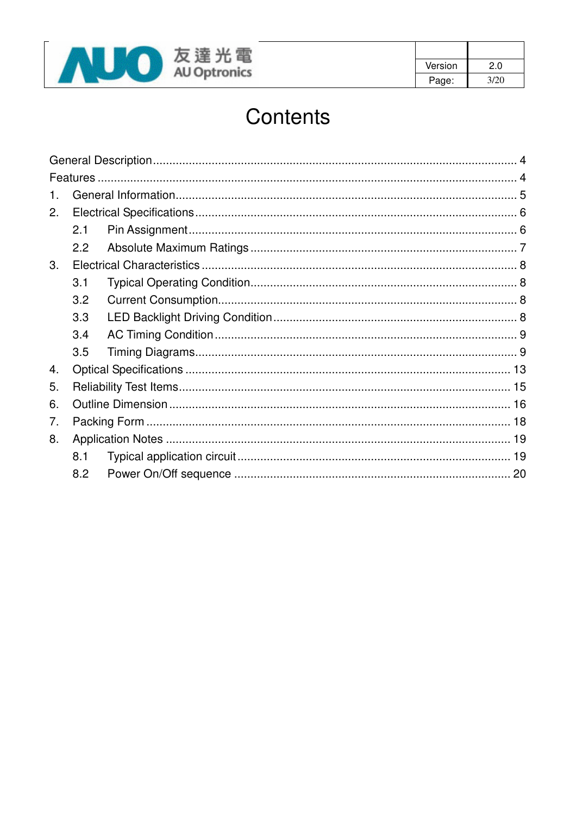

| Version | 2.0  |
|---------|------|
| Page:   | 3/20 |

# Contents

| $\mathbf 1$ |     |  |
|-------------|-----|--|
| 2.          |     |  |
|             | 2.1 |  |
|             | 2.2 |  |
| 3.          |     |  |
|             | 3.1 |  |
|             | 3.2 |  |
|             | 3.3 |  |
|             | 3.4 |  |
|             | 3.5 |  |
| 4.          |     |  |
| 5.          |     |  |
| 6.          |     |  |
| 7.          |     |  |
| 8.          |     |  |
|             | 8.1 |  |
|             | 8.2 |  |
|             |     |  |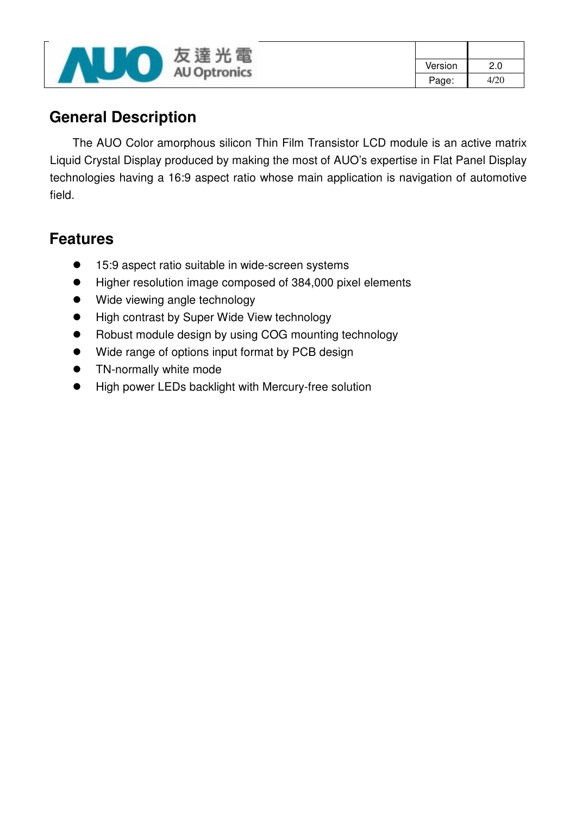

| Version | 2.0  |
|---------|------|
| Page:   | 4/20 |

### **General Description**

The AUO Color amorphous silicon Thin Film Transistor LCD module is an active matrix Liquid Crystal Display produced by making the most of AUO's expertise in Flat Panel Display technologies having a 16:9 aspect ratio whose main application is navigation of automotive field.

### **Features**

- 15:9 aspect ratio suitable in wide-screen systems
- Higher resolution image composed of 384,000 pixel elements
- Wide viewing angle technology
- High contrast by Super Wide View technology
- Robust module design by using COG mounting technology
- Wide range of options input format by PCB design
- **•** TN-normally white mode
- High power LEDs backlight with Mercury-free solution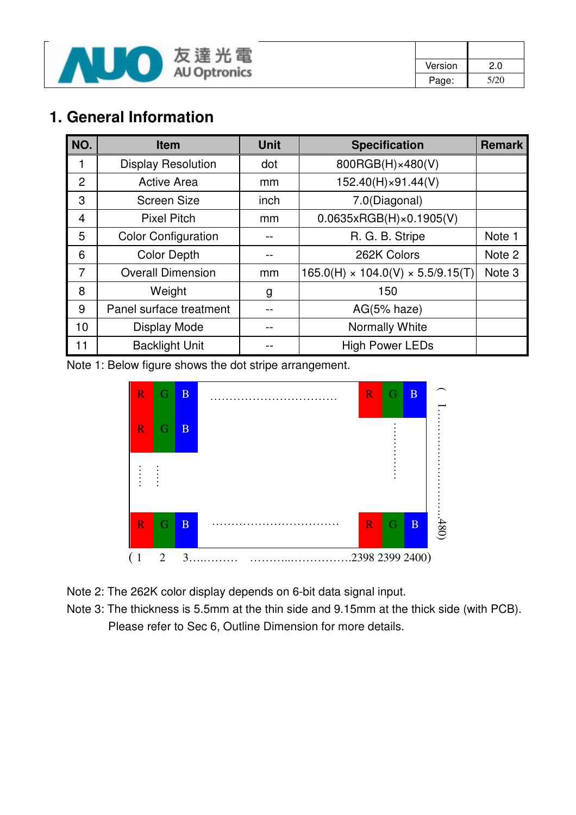

| Version | 2.0  |
|---------|------|
| Page:   | 5/20 |

## **1. General Information**

| NO.            | <b>Item</b>                | <b>Unit</b> | <b>Specification</b>                          | <b>Remark</b>     |
|----------------|----------------------------|-------------|-----------------------------------------------|-------------------|
|                | <b>Display Resolution</b>  | dot         | 800RGB(H)×480(V)                              |                   |
| $\overline{2}$ | <b>Active Area</b>         | mm          | 152.40(H)×91.44(V)                            |                   |
| 3              | <b>Screen Size</b>         | inch        | 7.0(Diagonal)                                 |                   |
| 4              | <b>Pixel Pitch</b>         | mm          | 0.0635xRGB(H)x0.1905(V)                       |                   |
| 5              | <b>Color Configuration</b> |             | R. G. B. Stripe                               | Note 1            |
| 6              | <b>Color Depth</b>         |             | 262K Colors                                   | Note 2            |
| $\overline{7}$ | <b>Overall Dimension</b>   | mm          | $165.0(H) \times 104.0(V) \times 5.5/9.15(T)$ | Note <sub>3</sub> |
| 8              | Weight                     | g           | 150                                           |                   |
| 9              | Panel surface treatment    |             | $AG(5% \text{ haze})$                         |                   |
| 10             | <b>Display Mode</b>        |             | Normally White                                |                   |
| 11             | <b>Backlight Unit</b>      |             | <b>High Power LEDs</b>                        |                   |

Note 1: Below figure shows the dot stripe arrangement.



Note 2: The 262K color display depends on 6-bit data signal input.

Note 3: The thickness is 5.5mm at the thin side and 9.15mm at the thick side (with PCB). Please refer to Sec 6, Outline Dimension for more details.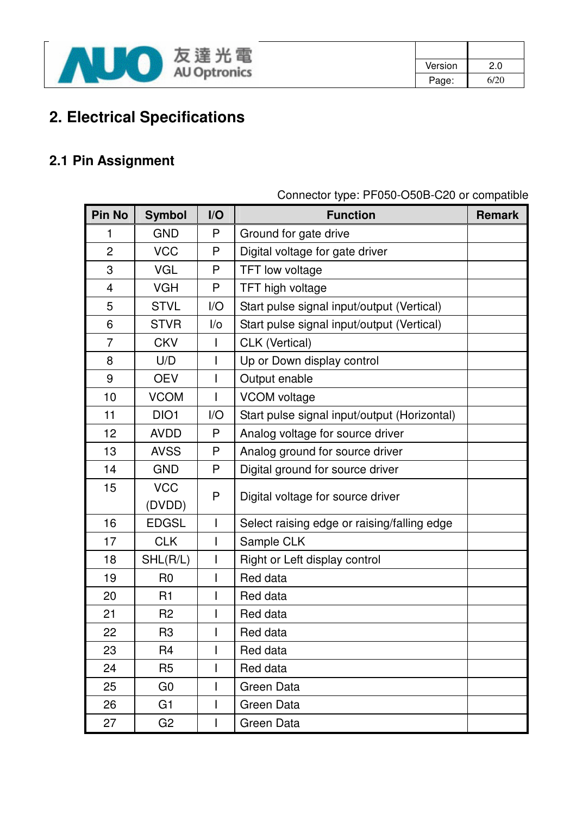

| Version | 2.0  |
|---------|------|
| Page:   | 6/20 |

# **2. Electrical Specifications**

### **2.1 Pin Assignment**

| <b>Pin No</b>  | <b>Symbol</b>  | I/O          | <b>Function</b>                              | <b>Remark</b> |
|----------------|----------------|--------------|----------------------------------------------|---------------|
| 1              | <b>GND</b>     | P            | Ground for gate drive                        |               |
| $\overline{2}$ | <b>VCC</b>     | P            | Digital voltage for gate driver              |               |
| 3              | <b>VGL</b>     | P            | TFT low voltage                              |               |
| 4              | <b>VGH</b>     | P            | TFT high voltage                             |               |
| 5              | <b>STVL</b>    | I/O          | Start pulse signal input/output (Vertical)   |               |
| 6              | <b>STVR</b>    | I/O          | Start pulse signal input/output (Vertical)   |               |
| $\overline{7}$ | <b>CKV</b>     | $\mathbf{I}$ | CLK (Vertical)                               |               |
| 8              | U/D            | $\mathbf{I}$ | Up or Down display control                   |               |
| 9              | <b>OEV</b>     | $\mathbf{I}$ | Output enable                                |               |
| 10             | <b>VCOM</b>    |              | <b>VCOM</b> voltage                          |               |
| 11             | DIO1           | I/O          | Start pulse signal input/output (Horizontal) |               |
| 12             | <b>AVDD</b>    | P            | Analog voltage for source driver             |               |
| 13             | <b>AVSS</b>    | P            | Analog ground for source driver              |               |
| 14             | <b>GND</b>     | P            | Digital ground for source driver             |               |
| 15             | <b>VCC</b>     | P            | Digital voltage for source driver            |               |
|                | (DVDD)         |              |                                              |               |
| 16             | <b>EDGSL</b>   | Ш            | Select raising edge or raising/falling edge  |               |
| 17             | <b>CLK</b>     | $\mathsf{l}$ | Sample CLK                                   |               |
| 18             | SHL(R/L)       |              | Right or Left display control                |               |
| 19             | R <sub>0</sub> |              | Red data                                     |               |
| 20             | R1             |              | Red data                                     |               |
| 21             | R <sub>2</sub> |              | Red data                                     |               |
| 22             | R <sub>3</sub> |              | Red data                                     |               |
| 23             | R4             |              | Red data                                     |               |
| 24             | R <sub>5</sub> |              | Red data                                     |               |
| 25             | G <sub>0</sub> |              | Green Data                                   |               |
| 26             | G <sub>1</sub> |              | Green Data                                   |               |
| 27             | G <sub>2</sub> |              | Green Data                                   |               |

Connector type: PF050-O50B-C20 or compatible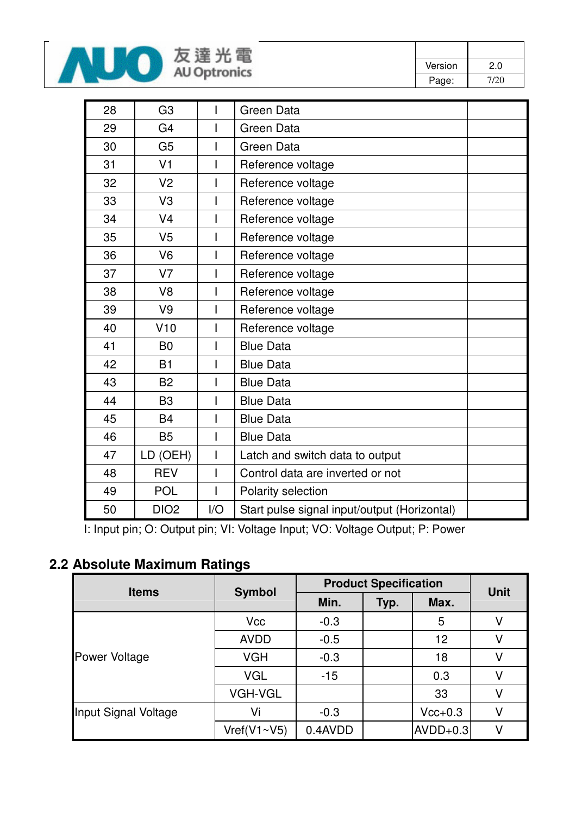

| Version | 2.0  |
|---------|------|
| Page:   | 7/20 |

| 28 | G <sub>3</sub>   |     | Green Data                                   |
|----|------------------|-----|----------------------------------------------|
| 29 | G <sub>4</sub>   |     | Green Data                                   |
| 30 | G <sub>5</sub>   |     | <b>Green Data</b>                            |
| 31 | V <sub>1</sub>   |     | Reference voltage                            |
| 32 | V <sub>2</sub>   |     | Reference voltage                            |
| 33 | V <sub>3</sub>   |     | Reference voltage                            |
| 34 | V <sub>4</sub>   |     | Reference voltage                            |
| 35 | V <sub>5</sub>   |     | Reference voltage                            |
| 36 | V <sub>6</sub>   |     | Reference voltage                            |
| 37 | V <sub>7</sub>   |     | Reference voltage                            |
| 38 | V <sub>8</sub>   |     | Reference voltage                            |
| 39 | V <sub>9</sub>   |     | Reference voltage                            |
| 40 | V10              |     | Reference voltage                            |
| 41 | B <sub>0</sub>   |     | <b>Blue Data</b>                             |
| 42 | B1               |     | <b>Blue Data</b>                             |
| 43 | <b>B2</b>        |     | <b>Blue Data</b>                             |
| 44 | B <sub>3</sub>   |     | <b>Blue Data</b>                             |
| 45 | <b>B4</b>        |     | <b>Blue Data</b>                             |
| 46 | <b>B5</b>        |     | <b>Blue Data</b>                             |
| 47 | LD (OEH)         |     | Latch and switch data to output              |
| 48 | <b>REV</b>       |     | Control data are inverted or not             |
| 49 | <b>POL</b>       |     | Polarity selection                           |
| 50 | DIO <sub>2</sub> | I/O | Start pulse signal input/output (Horizontal) |

I: Input pin; O: Output pin; VI: Voltage Input; VO: Voltage Output; P: Power

### **2.2 Absolute Maximum Ratings**

| <b>Items</b>         | <b>Symbol</b>  | <b>Product Specification</b> | Unit |            |   |  |
|----------------------|----------------|------------------------------|------|------------|---|--|
|                      |                | Min.                         | Typ. | Max.       |   |  |
|                      | <b>Vcc</b>     | $-0.3$                       |      | 5          | V |  |
|                      | <b>AVDD</b>    | $-0.5$                       |      | 12         | V |  |
| Power Voltage        | <b>VGH</b>     | $-0.3$                       |      | 18         | V |  |
|                      | <b>VGL</b>     | $-15$                        |      | 0.3        | V |  |
|                      | <b>VGH-VGL</b> |                              |      | 33         | V |  |
| Input Signal Voltage | Vi             | $-0.3$                       |      | $Vcc+0.3$  | V |  |
|                      | Vref(V1~V5)    | 0.4AVDD                      |      | $AVDD+0.3$ | V |  |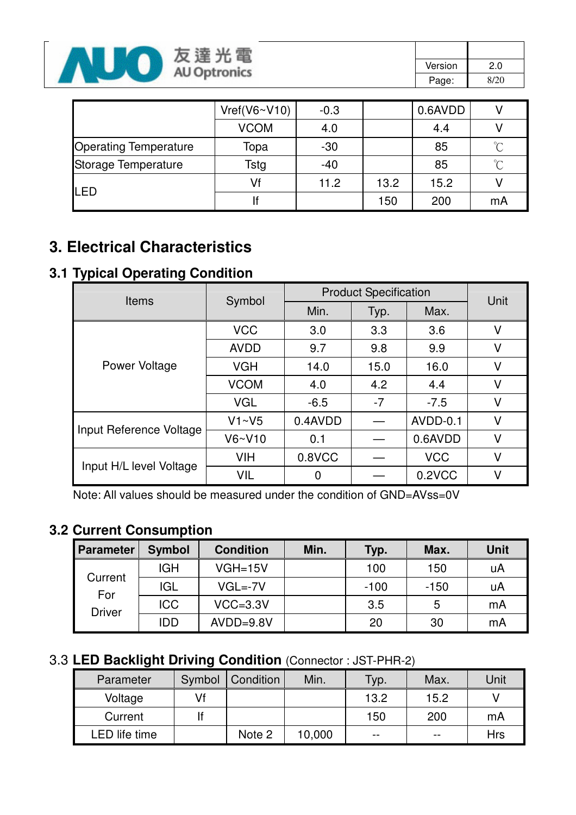

| Version | 2.0  |
|---------|------|
| Page:   | 8/20 |

|                              | Vref(V6~V10) | $-0.3$ |      | 0.6AVDD |        |
|------------------------------|--------------|--------|------|---------|--------|
|                              | <b>VCOM</b>  | 4.0    |      | 4.4     |        |
| <b>Operating Temperature</b> | Topa         | $-30$  |      | 85      | $\sim$ |
| Storage Temperature          | Tstg         | $-40$  |      | 85      | $\sim$ |
| LED                          | Vf           | 11.2   | 13.2 | 15.2    |        |
|                              |              |        | 150  | 200     | mA     |

# **3. Electrical Characteristics**

### **3.1 Typical Operating Condition**

| <b>Items</b>            | Symbol      | <b>Product Specification</b> | Unit |            |   |  |
|-------------------------|-------------|------------------------------|------|------------|---|--|
|                         |             | Min.                         | Typ. | Max.       |   |  |
|                         | <b>VCC</b>  | 3.0                          | 3.3  | 3.6        | V |  |
|                         | <b>AVDD</b> | 9.7                          | 9.8  | 9.9        | V |  |
| Power Voltage           | <b>VGH</b>  | 14.0                         | 15.0 | 16.0       | V |  |
|                         | <b>VCOM</b> | 4.0                          | 4.2  | 4.4        | V |  |
|                         | <b>VGL</b>  | $-6.5$                       | $-7$ | $-7.5$     | V |  |
|                         | V1~V5       | 0.4AVDD                      |      | AVDD-0.1   | V |  |
| Input Reference Voltage | $V6-V10$    | 0.1                          |      | 0.6AVDD    | V |  |
|                         | <b>VIH</b>  | 0.8VCC                       |      | <b>VCC</b> | V |  |
| Input H/L level Voltage | <b>VIL</b>  | 0                            |      | 0.2VCC     | V |  |

Note: All values should be measured under the condition of GND=AVss=0V

### **3.2 Current Consumption**

| <b>Parameter</b>     | <b>Symbol</b> | <b>Condition</b> | Min. | Typ.   | Max.   | <b>Unit</b> |
|----------------------|---------------|------------------|------|--------|--------|-------------|
|                      | <b>IGH</b>    | $VGH=15V$        |      | 100    | 150    | uA          |
| Current              | <b>IGL</b>    | $VGL=-7V$        |      | $-100$ | $-150$ | uA          |
| For<br><b>Driver</b> | <b>ICC</b>    | $VCC = 3.3V$     |      | 3.5    | 5      | mA          |
|                      | IDD           | $AVDD=9.8V$      |      | 20     | 30     | mA          |

### 3.3 **LED Backlight Driving Condition** (Connector : JST-PHR-2)

| Parameter     | Symbol | Condition | Min.   | Typ. | Max.  | Unit |
|---------------|--------|-----------|--------|------|-------|------|
| Voltage       | Vf     |           |        | 13.2 | 15.2  |      |
| Current       |        |           |        | 150  | 200   | mA   |
| LED life time |        | Note 2    | 10,000 | $-$  | $- -$ | Hrs  |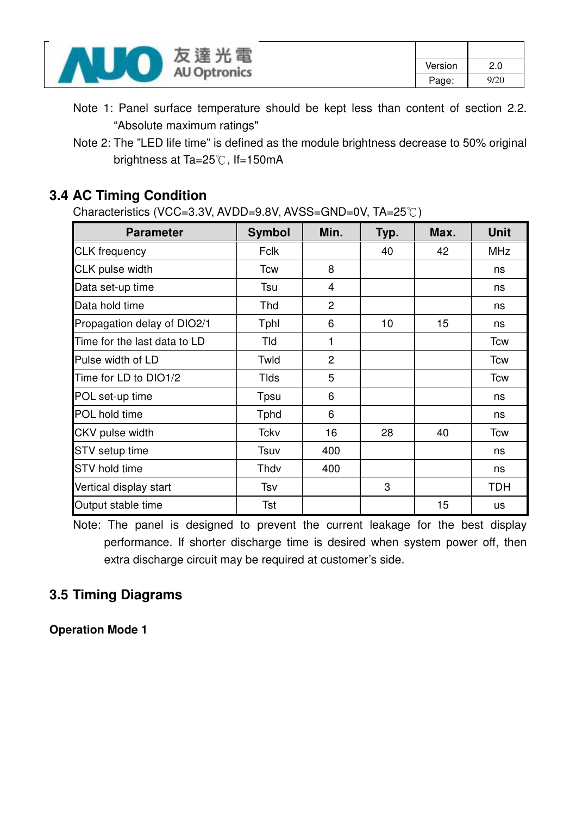

Note 1: Panel surface temperature should be kept less than content of section 2.2. "Absolute maximum ratings"

#### **3.4 AC Timing Condition**

Characteristics (VCC=3.3V, AVDD=9.8V, AVSS=GND=0V, TA=25°C)

| <b>Parameter</b>             | <b>Symbol</b> | Min.           | Typ. | Max. | <b>Unit</b> |
|------------------------------|---------------|----------------|------|------|-------------|
| <b>CLK</b> frequency         | <b>Fclk</b>   |                | 40   | 42   | <b>MHz</b>  |
| CLK pulse width              | <b>Tcw</b>    | 8              |      |      | ns          |
| Data set-up time             | Tsu           | 4              |      |      | ns          |
| Data hold time               | Thd           | $\overline{2}$ |      |      | ns          |
| Propagation delay of DIO2/1  | Tphl          | 6              | 10   | 15   | ns          |
| Time for the last data to LD | Tld           | 1              |      |      | Tcw         |
| Pulse width of LD            | Twld          | $\overline{2}$ |      |      | Tcw         |
| Time for LD to DIO1/2        | <b>Tlds</b>   | 5              |      |      | <b>Tcw</b>  |
| POL set-up time              | Tpsu          | 6              |      |      | ns          |
| POL hold time                | <b>T</b> phd  | 6              |      |      | ns          |
| CKV pulse width              | Tckv          | 16             | 28   | 40   | <b>Tcw</b>  |
| <b>STV</b> setup time        | Tsuv          | 400            |      |      | ns          |
| <b>STV</b> hold time         | Thdv          | 400            |      |      | ns          |
| Vertical display start       | Tsv           |                | 3    |      | <b>TDH</b>  |
| Output stable time           | Tst           |                |      | 15   | us          |

Note: The panel is designed to prevent the current leakage for the best display performance. If shorter discharge time is desired when system power off, then extra discharge circuit may be required at customer's side.

### **3.5 Timing Diagrams**

**Operation Mode 1** 

Note 2: The "LED life time" is defined as the module brightness decrease to 50% original brightness at Ta=25°C, If=150mA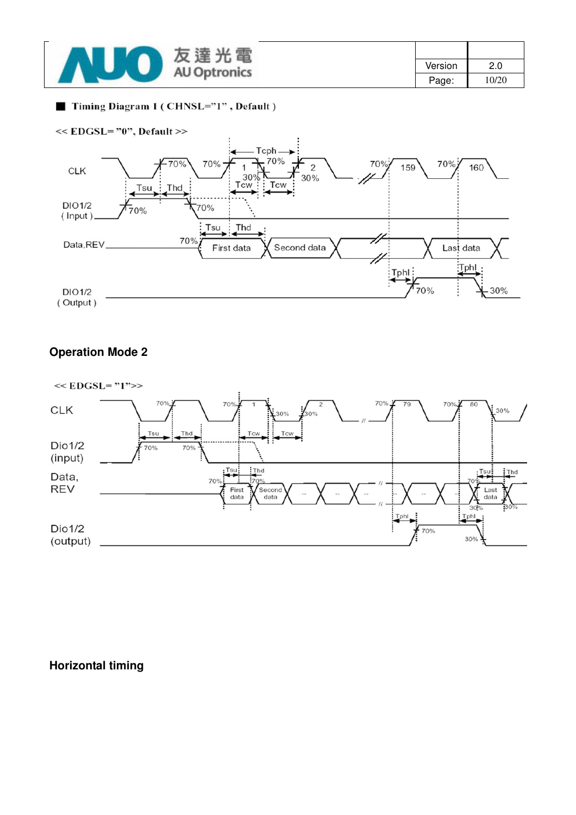| 電<br>達<br>反              |         |       |
|--------------------------|---------|-------|
| 兀<br><b>AU Optronics</b> | Version | 2.0   |
|                          | Page:   | 10/20 |

#### Timing Diagram 1 (CHNSL="1", Default)



#### **Operation Mode 2**



**Horizontal timing**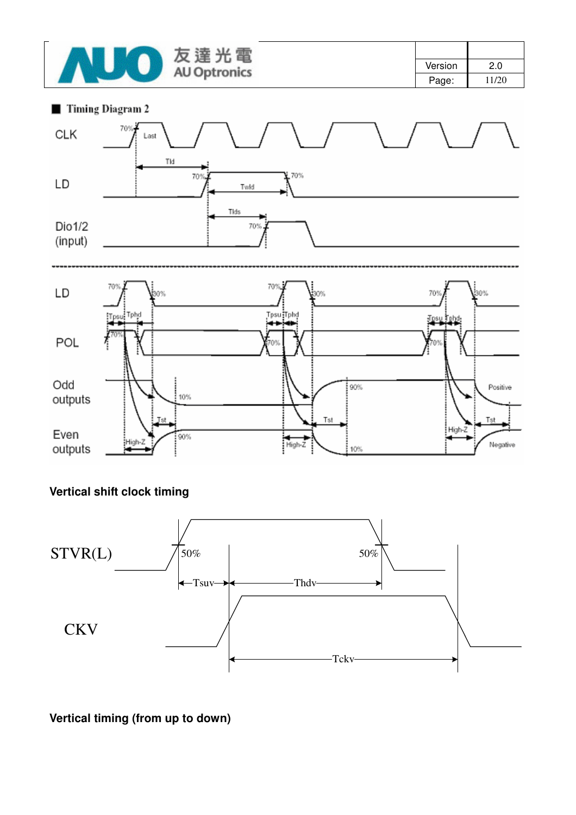

| Version | 2.0   |
|---------|-------|
| Page:   | 11/20 |





#### **Vertical shift clock timing**



**Vertical timing (from up to down)**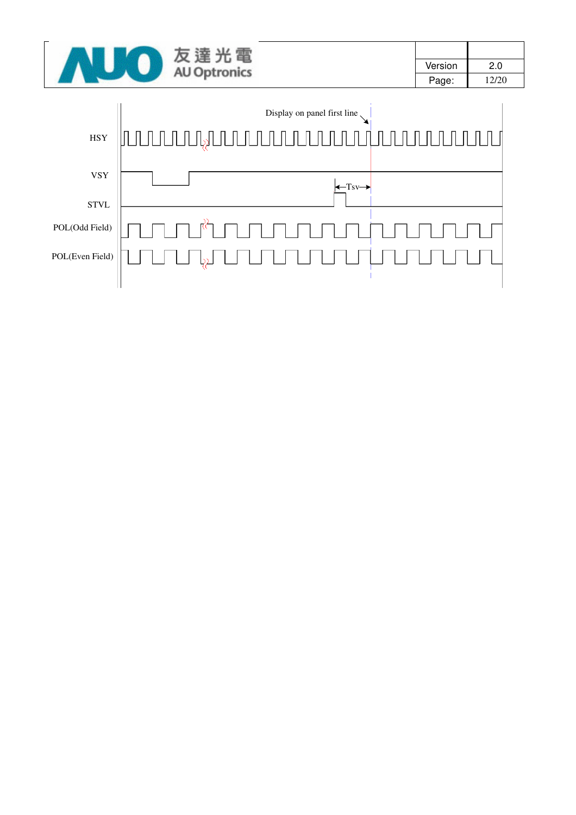|  | 电                   |         |       |
|--|---------------------|---------|-------|
|  | <b>AU Optronics</b> | Version | 2.0   |
|  |                     | Page:   | 12/20 |

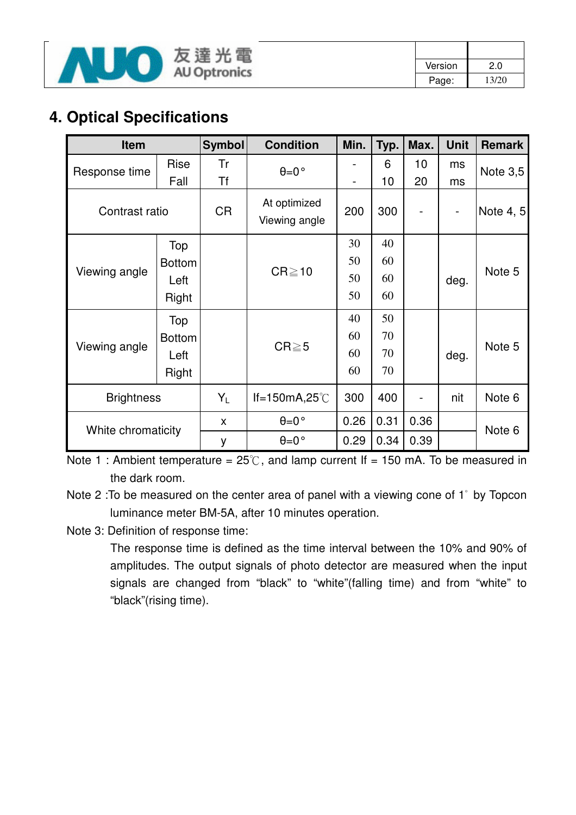

| Version | 2.0   |
|---------|-------|
| Page:   | 13/20 |

## **4. Optical Specifications**

| Item               |               | <b>Symbol</b> | <b>Condition</b>              | Min.                         | Typ. | Max.                         | <b>Unit</b>              | <b>Remark</b> |
|--------------------|---------------|---------------|-------------------------------|------------------------------|------|------------------------------|--------------------------|---------------|
| Response time      | Rise          | Tr            | $\theta = 0$ °                |                              | 6    | 10                           | ms                       | Note $3,5$    |
|                    | Fall          | <b>Tf</b>     |                               | $\qquad \qquad \blacksquare$ | 10   | 20                           | ms                       |               |
| Contrast ratio     |               | <b>CR</b>     | At optimized<br>Viewing angle | 200                          | 300  |                              | $\overline{\phantom{a}}$ | Note 4, 5     |
|                    | Top           |               |                               | 30                           | 40   |                              |                          |               |
| Viewing angle      | <b>Bottom</b> |               |                               | 50                           | 60   |                              | deg.                     | Note 5        |
|                    | Left          |               | $CR \ge 10$                   | 50                           | 60   |                              |                          |               |
|                    | Right         |               |                               | 50                           | 60   |                              |                          |               |
|                    | Top           |               |                               | 40                           | 50   |                              |                          |               |
|                    | <b>Bottom</b> |               |                               | 60                           | 70   |                              |                          |               |
| Viewing angle      | Left          |               | $CR \ge 5$                    | 60                           | 70   |                              | deg.                     | Note 5        |
|                    | Right         |               |                               | 60                           | 70   |                              |                          |               |
| <b>Brightness</b>  |               | $Y_L$         | If=150mA,25 $°C$              | 300                          | 400  | $\qquad \qquad \blacksquare$ | nit                      | Note 6        |
|                    |               | X             | $\theta = 0$ °                | 0.26                         | 0.31 | 0.36                         |                          |               |
| White chromaticity |               | y             | $\theta = 0$ °                | 0.29                         | 0.34 | 0.39                         |                          | Note 6        |

Note 1 : Ambient temperature =  $25^{\circ}$ C, and lamp current If = 150 mA. To be measured in the dark room.

Note 2 :To be measured on the center area of panel with a viewing cone of 1" by Topcon luminance meter BM-5A, after 10 minutes operation.

Note 3: Definition of response time:

The response time is defined as the time interval between the 10% and 90% of amplitudes. The output signals of photo detector are measured when the input signals are changed from "black" to "white"(falling time) and from "white" to "black"(rising time).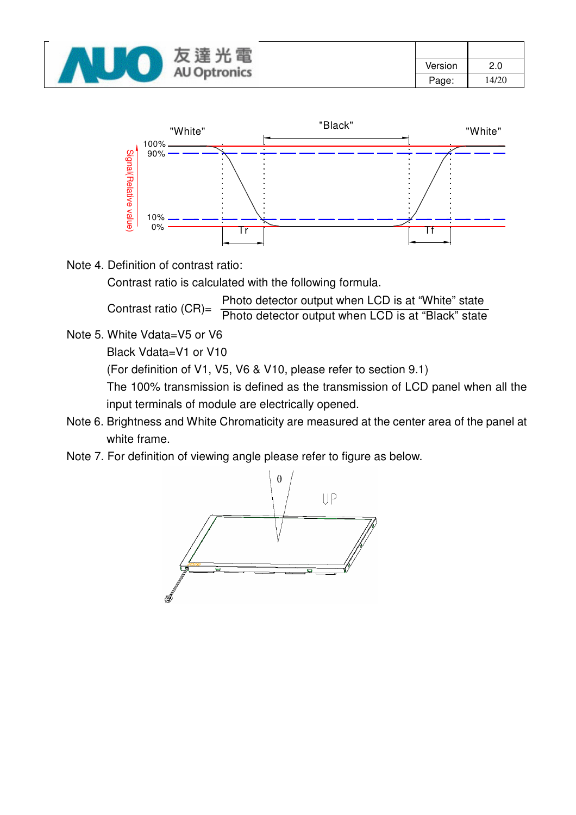| 電<br>,,,,<br>及<br>涯      |         |       |
|--------------------------|---------|-------|
| 兀<br><b>AU Optronics</b> | Version | 2.0   |
|                          | Page:   | 14/20 |



Note 4. Definition of contrast ratio:

Contrast ratio is calculated with the following formula.

Photo detector output when LCD is at "White" state

Contrast ratio (CR)= Photo detector output when LCD is at "Black" state

Note 5. White Vdata=V5 or V6

Black Vdata=V1 or V10

(For definition of V1, V5, V6 & V10, please refer to section 9.1)

The 100% transmission is defined as the transmission of LCD panel when all the input terminals of module are electrically opened.

- Note 6. Brightness and White Chromaticity are measured at the center area of the panel at white frame.
- Note 7. For definition of viewing angle please refer to figure as below.

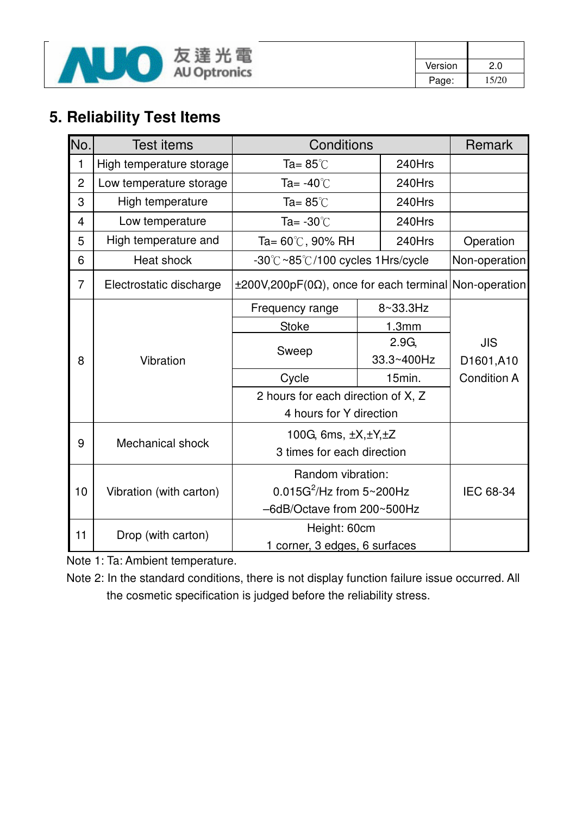

| Version | 2.0   |
|---------|-------|
| Page:   | 15/20 |

# **5. Reliability Test Items**

| No.            | Test items               | Conditions                                                        |  | Remark            |                    |
|----------------|--------------------------|-------------------------------------------------------------------|--|-------------------|--------------------|
| 1              | High temperature storage | Ta= $85^{\circ}$ C<br>240Hrs                                      |  |                   |                    |
| $\overline{2}$ | Low temperature storage  | Ta= $-40^{\circ}$ C                                               |  | 240Hrs            |                    |
| 3              | High temperature         | Ta= $85^{\circ}$ C                                                |  | 240Hrs            |                    |
| 4              | Low temperature          | Ta= $-30^{\circ}$ C                                               |  | 240Hrs            |                    |
| 5              | High temperature and     | Ta= $60^{\circ}$ C, 90% RH                                        |  | 240Hrs            | Operation          |
| 6              | Heat shock               | -30°C~85°C/100 cycles 1Hrs/cycle                                  |  |                   | Non-operation      |
| $\overline{7}$ | Electrostatic discharge  | $\pm 200V, 200pF(0\Omega)$ , once for each terminal Non-operation |  |                   |                    |
|                |                          | Frequency range                                                   |  | 8~33.3Hz          |                    |
|                |                          | <b>Stoke</b>                                                      |  | 1.3mm             |                    |
|                |                          |                                                                   |  | 2.9G <sub>1</sub> | <b>JIS</b>         |
| 8              | Vibration                | Sweep                                                             |  | 33.3~400Hz        | D1601,A10          |
|                |                          | Cycle                                                             |  | 15min.            | <b>Condition A</b> |
|                |                          | 2 hours for each direction of X, Z                                |  |                   |                    |
|                |                          | 4 hours for Y direction                                           |  |                   |                    |
|                |                          | 100G, 6ms, $\pm X, \pm Y, \pm Z$                                  |  |                   |                    |
| 9              | Mechanical shock         | 3 times for each direction                                        |  |                   |                    |
|                |                          | Random vibration:                                                 |  |                   |                    |
| 10             | Vibration (with carton)  | $0.015G^2$ /Hz from 5~200Hz                                       |  | IEC 68-34         |                    |
|                |                          | -6dB/Octave from 200~500Hz                                        |  |                   |                    |
| 11             | Drop (with carton)       | Height: 60cm                                                      |  |                   |                    |
|                |                          | 1 corner, 3 edges, 6 surfaces                                     |  |                   |                    |

Note 1: Ta: Ambient temperature.

Note 2: In the standard conditions, there is not display function failure issue occurred. All the cosmetic specification is judged before the reliability stress.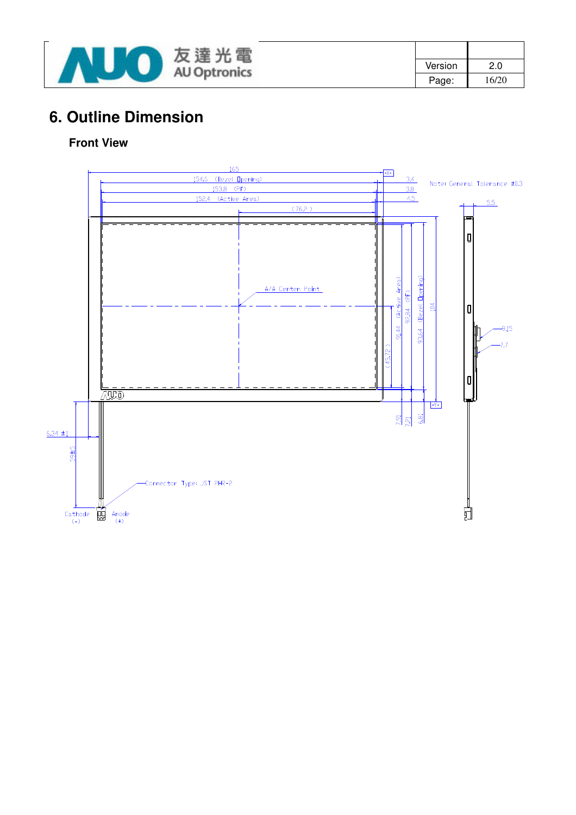

| Version | 2.0   |
|---------|-------|
| Page:   | 16/20 |

## **6. Outline Dimension**

#### **Front View**

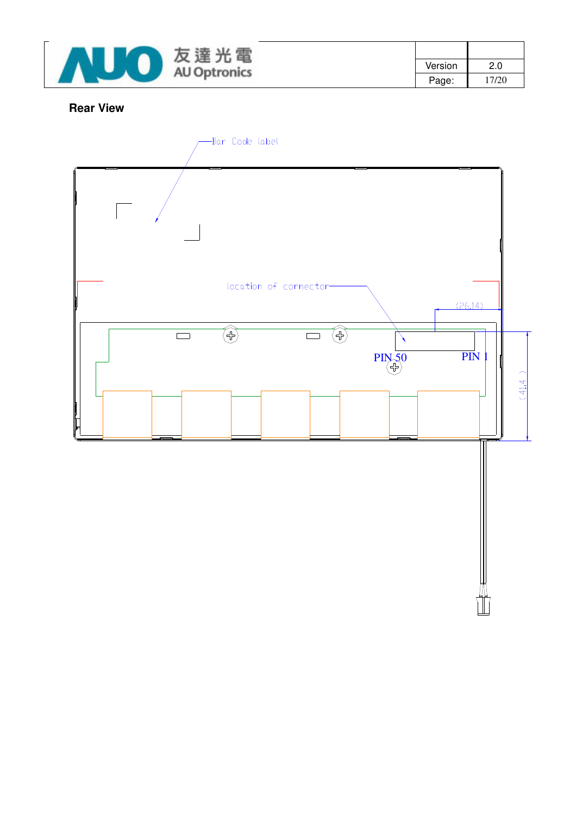

| Version | 2.0   |
|---------|-------|
| Page:   | 17/20 |

#### **Rear View**

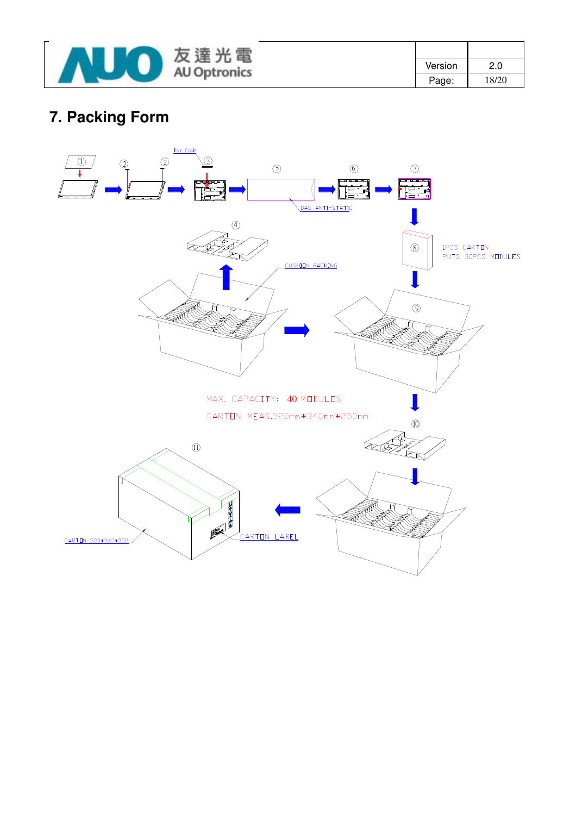

| Version | 2.0   |
|---------|-------|
| Page:   | 18/20 |

# **7. Packing Form**

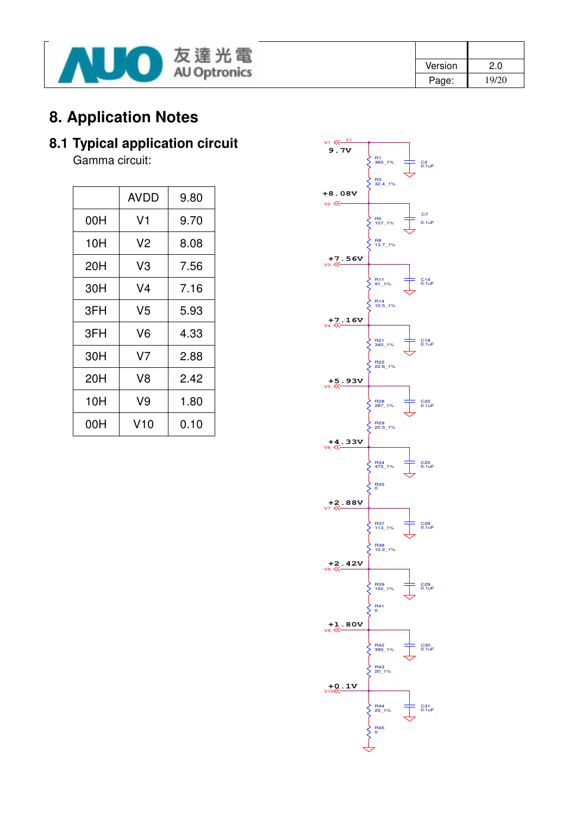

| Version | 2.0   |
|---------|-------|
| Page:   | 19/20 |

## **8. Application Notes**

# **8.1 Typical application circuit**

Gamma circuit:

|     | <b>AVDD</b> | 9.80 |
|-----|-------------|------|
| 00H | V1          | 9.70 |
| 10H | V2          | 8.08 |
| 20H | V3          | 7.56 |
| 30H | V4          | 7.16 |
| 3FH | V5          | 5.93 |
| 3FH | V6          | 4.33 |
| 30H | V7          | 2.88 |
| 20H | V8          | 2.42 |
| 10H | V9          | 1.80 |
| 00H | V10         | 0.10 |